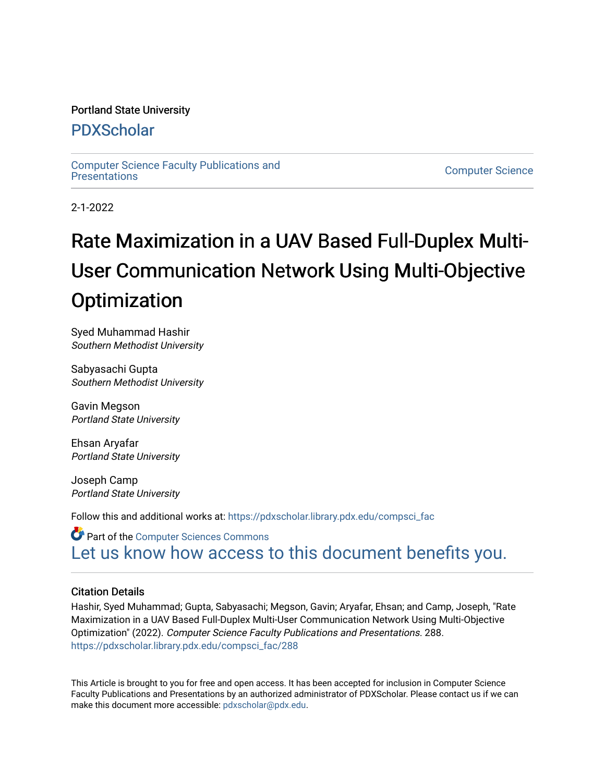# Portland State University

# [PDXScholar](https://pdxscholar.library.pdx.edu/)

[Computer Science Faculty Publications and](https://pdxscholar.library.pdx.edu/compsci_fac) 

**Computer Science** 

2-1-2022

# Rate Maximization in a UAV Based Full-Duplex Multi-User Communication Network Using Multi-Objective **Optimization**

Syed Muhammad Hashir Southern Methodist University

Sabyasachi Gupta Southern Methodist University

Gavin Megson Portland State University

Ehsan Aryafar Portland State University

Joseph Camp Portland State University

Follow this and additional works at: [https://pdxscholar.library.pdx.edu/compsci\\_fac](https://pdxscholar.library.pdx.edu/compsci_fac?utm_source=pdxscholar.library.pdx.edu%2Fcompsci_fac%2F288&utm_medium=PDF&utm_campaign=PDFCoverPages) 

Part of the [Computer Sciences Commons](http://network.bepress.com/hgg/discipline/142?utm_source=pdxscholar.library.pdx.edu%2Fcompsci_fac%2F288&utm_medium=PDF&utm_campaign=PDFCoverPages) [Let us know how access to this document benefits you.](http://library.pdx.edu/services/pdxscholar-services/pdxscholar-feedback/?ref=https://pdxscholar.library.pdx.edu/compsci_fac/288) 

# Citation Details

Hashir, Syed Muhammad; Gupta, Sabyasachi; Megson, Gavin; Aryafar, Ehsan; and Camp, Joseph, "Rate Maximization in a UAV Based Full-Duplex Multi-User Communication Network Using Multi-Objective Optimization" (2022). Computer Science Faculty Publications and Presentations. 288. [https://pdxscholar.library.pdx.edu/compsci\\_fac/288](https://pdxscholar.library.pdx.edu/compsci_fac/288?utm_source=pdxscholar.library.pdx.edu%2Fcompsci_fac%2F288&utm_medium=PDF&utm_campaign=PDFCoverPages) 

This Article is brought to you for free and open access. It has been accepted for inclusion in Computer Science Faculty Publications and Presentations by an authorized administrator of PDXScholar. Please contact us if we can make this document more accessible: [pdxscholar@pdx.edu.](mailto:pdxscholar@pdx.edu)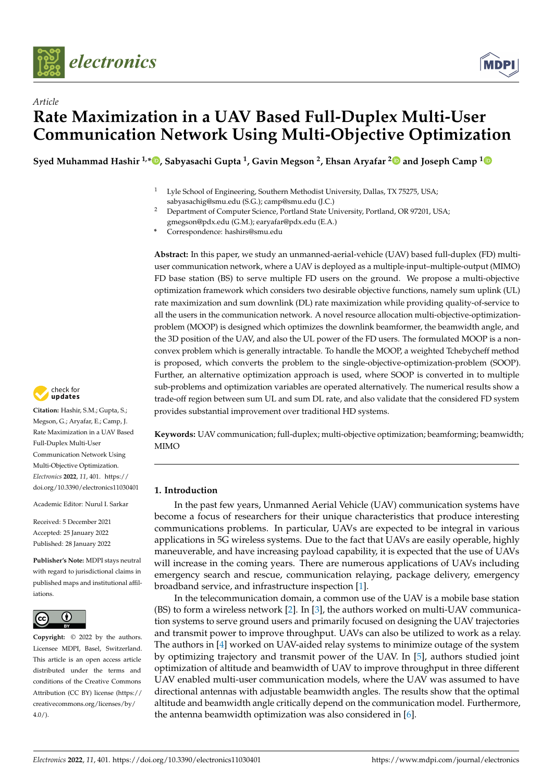



# *Article* **Rate Maximization in a UAV Based Full-Duplex Multi-User Communication Network Using Multi-Objective Optimization**

**Syed Muhammad Hashir 1,[\\*](https://orcid.org/0000-0001-7614-3508) , Sabyasachi Gupta <sup>1</sup> , Gavin Megson <sup>2</sup> , Ehsan Aryafar [2](https://orcid.org/0000-0001-8575-7501) and Joseph Camp [1](https://orcid.org/0000-0002-9307-1312)**

- Lyle School of Engineering, Southern Methodist University, Dallas, TX 75275, USA; sabyasachig@smu.edu (S.G.); camp@smu.edu (J.C.)
- <sup>2</sup> Department of Computer Science, Portland State University, Portland, OR 97201, USA; gmegson@pdx.edu (G.M.); earyafar@pdx.edu (E.A.)
- **\*** Correspondence: hashirs@smu.edu

**Abstract:** In this paper, we study an unmanned-aerial-vehicle (UAV) based full-duplex (FD) multiuser communication network, where a UAV is deployed as a multiple-input–multiple-output (MIMO) FD base station (BS) to serve multiple FD users on the ground. We propose a multi-objective optimization framework which considers two desirable objective functions, namely sum uplink (UL) rate maximization and sum downlink (DL) rate maximization while providing quality-of-service to all the users in the communication network. A novel resource allocation multi-objective-optimizationproblem (MOOP) is designed which optimizes the downlink beamformer, the beamwidth angle, and the 3D position of the UAV, and also the UL power of the FD users. The formulated MOOP is a nonconvex problem which is generally intractable. To handle the MOOP, a weighted Tchebycheff method is proposed, which converts the problem to the single-objective-optimization-problem (SOOP). Further, an alternative optimization approach is used, where SOOP is converted in to multiple sub-problems and optimization variables are operated alternatively. The numerical results show a trade-off region between sum UL and sum DL rate, and also validate that the considered FD system provides substantial improvement over traditional HD systems.

check for<br>**undates** 

**Citation:** Hashir, S.M.; Gupta, S.; Megson, G.; Aryafar, E.; Camp, J. Rate Maximization in a UAV Based Full-Duplex Multi-User Communication Network Using Multi-Objective Optimization. *Electronics* **2022**, *11*, 401. [https://](https://doi.org/10.3390/electronics11030401) [doi.org/10.3390/electronics11030401](https://doi.org/10.3390/electronics11030401)

Academic Editor: Nurul I. Sarkar

Received: 5 December 2021 Accepted: 25 January 2022 Published: 28 January 2022

**Publisher's Note:** MDPI stays neutral with regard to jurisdictional claims in published maps and institutional affiliations.



**Copyright:** © 2022 by the authors. Licensee MDPI, Basel, Switzerland. This article is an open access article distributed under the terms and conditions of the Creative Commons Attribution (CC BY) license [\(https://](https://creativecommons.org/licenses/by/4.0/) [creativecommons.org/licenses/by/](https://creativecommons.org/licenses/by/4.0/)  $4.0/$ ).

**Keywords:** UAV communication; full-duplex; multi-objective optimization; beamforming; beamwidth; MIMO

## **1. Introduction**

In the past few years, Unmanned Aerial Vehicle (UAV) communication systems have become a focus of researchers for their unique characteristics that produce interesting communications problems. In particular, UAVs are expected to be integral in various applications in 5G wireless systems. Due to the fact that UAVs are easily operable, highly maneuverable, and have increasing payload capability, it is expected that the use of UAVs will increase in the coming years. There are numerous applications of UAVs including emergency search and rescue, communication relaying, package delivery, emergency broadband service, and infrastructure inspection [\[1\]](#page-17-0).

In the telecommunication domain, a common use of the UAV is a mobile base station (BS) to form a wireless network [\[2\]](#page-17-1). In [\[3\]](#page-17-2), the authors worked on multi-UAV communication systems to serve ground users and primarily focused on designing the UAV trajectories and transmit power to improve throughput. UAVs can also be utilized to work as a relay. The authors in [\[4\]](#page-17-3) worked on UAV-aided relay systems to minimize outage of the system by optimizing trajectory and transmit power of the UAV. In [\[5\]](#page-17-4), authors studied joint optimization of altitude and beamwidth of UAV to improve throughput in three different UAV enabled multi-user communication models, where the UAV was assumed to have directional antennas with adjustable beamwidth angles. The results show that the optimal altitude and beamwidth angle critically depend on the communication model. Furthermore, the antenna beamwidth optimization was also considered in [\[6\]](#page-17-5).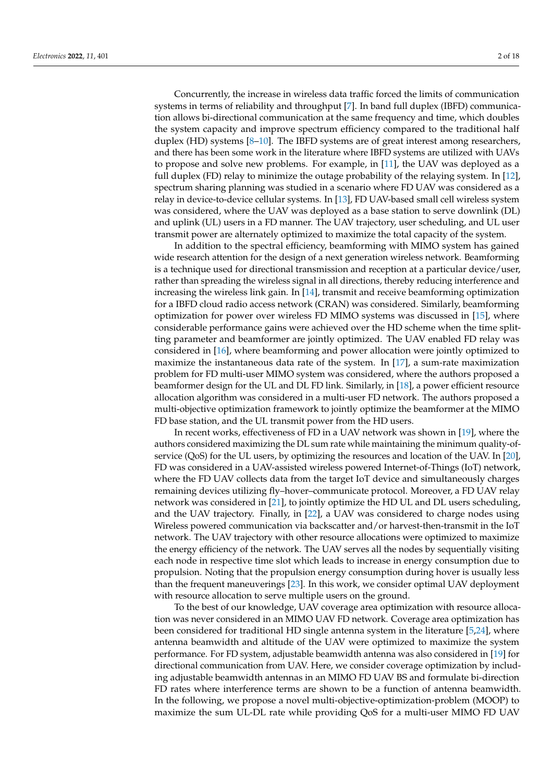Concurrently, the increase in wireless data traffic forced the limits of communication systems in terms of reliability and throughput [\[7\]](#page-17-6). In band full duplex (IBFD) communication allows bi-directional communication at the same frequency and time, which doubles the system capacity and improve spectrum efficiency compared to the traditional half duplex (HD) systems [\[8–](#page-17-7)[10\]](#page-17-8). The IBFD systems are of great interest among researchers, and there has been some work in the literature where IBFD systems are utilized with UAVs to propose and solve new problems. For example, in [\[11\]](#page-17-9), the UAV was deployed as a full duplex (FD) relay to minimize the outage probability of the relaying system. In [\[12\]](#page-17-10), spectrum sharing planning was studied in a scenario where FD UAV was considered as a relay in device-to-device cellular systems. In [\[13\]](#page-18-0), FD UAV-based small cell wireless system was considered, where the UAV was deployed as a base station to serve downlink (DL) and uplink (UL) users in a FD manner. The UAV trajectory, user scheduling, and UL user transmit power are alternately optimized to maximize the total capacity of the system.

In addition to the spectral efficiency, beamforming with MIMO system has gained wide research attention for the design of a next generation wireless network. Beamforming is a technique used for directional transmission and reception at a particular device/user, rather than spreading the wireless signal in all directions, thereby reducing interference and increasing the wireless link gain. In [\[14\]](#page-18-1), transmit and receive beamforming optimization for a IBFD cloud radio access network (CRAN) was considered. Similarly, beamforming optimization for power over wireless FD MIMO systems was discussed in [\[15\]](#page-18-2), where considerable performance gains were achieved over the HD scheme when the time splitting parameter and beamformer are jointly optimized. The UAV enabled FD relay was considered in [\[16\]](#page-18-3), where beamforming and power allocation were jointly optimized to maximize the instantaneous data rate of the system. In [\[17\]](#page-18-4), a sum-rate maximization problem for FD multi-user MIMO system was considered, where the authors proposed a beamformer design for the UL and DL FD link. Similarly, in [\[18\]](#page-18-5), a power efficient resource allocation algorithm was considered in a multi-user FD network. The authors proposed a multi-objective optimization framework to jointly optimize the beamformer at the MIMO FD base station, and the UL transmit power from the HD users.

In recent works, effectiveness of FD in a UAV network was shown in [\[19\]](#page-18-6), where the authors considered maximizing the DL sum rate while maintaining the minimum quality-ofservice (QoS) for the UL users, by optimizing the resources and location of the UAV. In [\[20\]](#page-18-7), FD was considered in a UAV-assisted wireless powered Internet-of-Things (IoT) network, where the FD UAV collects data from the target IoT device and simultaneously charges remaining devices utilizing fly–hover–communicate protocol. Moreover, a FD UAV relay network was considered in [\[21\]](#page-18-8), to jointly optimize the HD UL and DL users scheduling, and the UAV trajectory. Finally, in [\[22\]](#page-18-9), a UAV was considered to charge nodes using Wireless powered communication via backscatter and/or harvest-then-transmit in the IoT network. The UAV trajectory with other resource allocations were optimized to maximize the energy efficiency of the network. The UAV serves all the nodes by sequentially visiting each node in respective time slot which leads to increase in energy consumption due to propulsion. Noting that the propulsion energy consumption during hover is usually less than the frequent maneuverings [\[23\]](#page-18-10). In this work, we consider optimal UAV deployment with resource allocation to serve multiple users on the ground.

To the best of our knowledge, UAV coverage area optimization with resource allocation was never considered in an MIMO UAV FD network. Coverage area optimization has been considered for traditional HD single antenna system in the literature [\[5,](#page-17-4)[24\]](#page-18-11), where antenna beamwidth and altitude of the UAV were optimized to maximize the system performance. For FD system, adjustable beamwidth antenna was also considered in [\[19\]](#page-18-6) for directional communication from UAV. Here, we consider coverage optimization by including adjustable beamwidth antennas in an MIMO FD UAV BS and formulate bi-direction FD rates where interference terms are shown to be a function of antenna beamwidth. In the following, we propose a novel multi-objective-optimization-problem (MOOP) to maximize the sum UL-DL rate while providing QoS for a multi-user MIMO FD UAV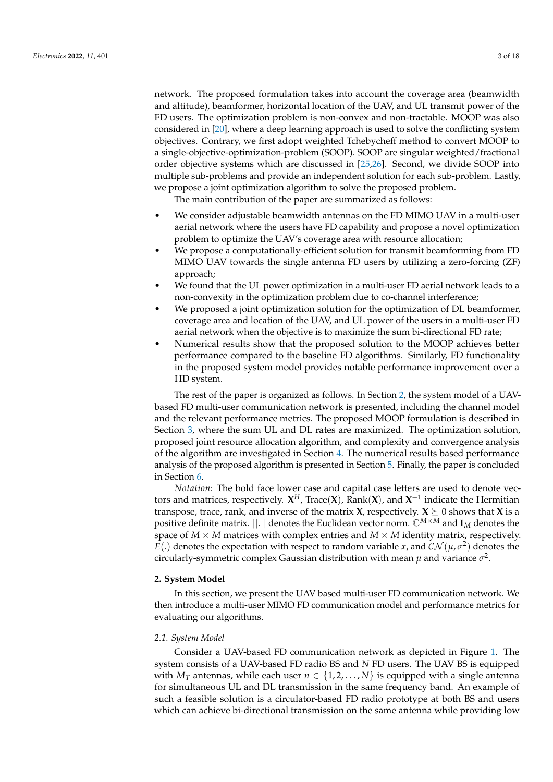network. The proposed formulation takes into account the coverage area (beamwidth and altitude), beamformer, horizontal location of the UAV, and UL transmit power of the FD users. The optimization problem is non-convex and non-tractable. MOOP was also considered in [\[20\]](#page-18-7), where a deep learning approach is used to solve the conflicting system objectives. Contrary, we first adopt weighted Tchebycheff method to convert MOOP to a single-objective-optimization-problem (SOOP). SOOP are singular weighted/fractional order objective systems which are discussed in [\[25](#page-18-12)[,26\]](#page-18-13). Second, we divide SOOP into multiple sub-problems and provide an independent solution for each sub-problem. Lastly, we propose a joint optimization algorithm to solve the proposed problem.

The main contribution of the paper are summarized as follows:

- We consider adjustable beamwidth antennas on the FD MIMO UAV in a multi-user aerial network where the users have FD capability and propose a novel optimization problem to optimize the UAV's coverage area with resource allocation;
- We propose a computationally-efficient solution for transmit beamforming from FD MIMO UAV towards the single antenna FD users by utilizing a zero-forcing (ZF) approach;
- We found that the UL power optimization in a multi-user FD aerial network leads to a non-convexity in the optimization problem due to co-channel interference;
- We proposed a joint optimization solution for the optimization of DL beamformer, coverage area and location of the UAV, and UL power of the users in a multi-user FD aerial network when the objective is to maximize the sum bi-directional FD rate;
- Numerical results show that the proposed solution to the MOOP achieves better performance compared to the baseline FD algorithms. Similarly, FD functionality in the proposed system model provides notable performance improvement over a HD system.

The rest of the paper is organized as follows. In Section [2,](#page-3-0) the system model of a UAVbased FD multi-user communication network is presented, including the channel model and the relevant performance metrics. The proposed MOOP formulation is described in Section [3,](#page-6-0) where the sum UL and DL rates are maximized. The optimization solution, proposed joint resource allocation algorithm, and complexity and convergence analysis of the algorithm are investigated in Section [4.](#page-6-1) The numerical results based performance analysis of the proposed algorithm is presented in Section [5.](#page-13-0) Finally, the paper is concluded in Section [6.](#page-17-11)

*Notation*: The bold face lower case and capital case letters are used to denote vectors and matrices, respectively. **X** *<sup>H</sup>*, Trace(**X**), Rank(**X**), and **X** −1 indicate the Hermitian transpose, trace, rank, and inverse of the matrix **X**, respectively. **X**  $\succeq$  0 shows that **X** is a positive definite matrix. ||.|| denotes the Euclidean vector norm. C*M*×*<sup>M</sup>* and **I***<sup>M</sup>* denotes the space of  $M \times M$  matrices with complex entries and  $M \times M$  identity matrix, respectively.  $E(.)$  denotes the expectation with respect to random variable *x*, and  $\mathcal{CN}(\mu,\sigma^2)$  denotes the circularly-symmetric complex Gaussian distribution with mean  $\mu$  and variance  $\sigma^2$ .

#### <span id="page-3-0"></span>**2. System Model**

In this section, we present the UAV based multi-user FD communication network. We then introduce a multi-user MIMO FD communication model and performance metrics for evaluating our algorithms.

#### *2.1. System Model*

Consider a UAV-based FD communication network as depicted in Figure [1.](#page-4-0) The system consists of a UAV-based FD radio BS and *N* FD users. The UAV BS is equipped with  $M_T$  antennas, while each user  $n \in \{1, 2, ..., N\}$  is equipped with a single antenna for simultaneous UL and DL transmission in the same frequency band. An example of such a feasible solution is a circulator-based FD radio prototype at both BS and users which can achieve bi-directional transmission on the same antenna while providing low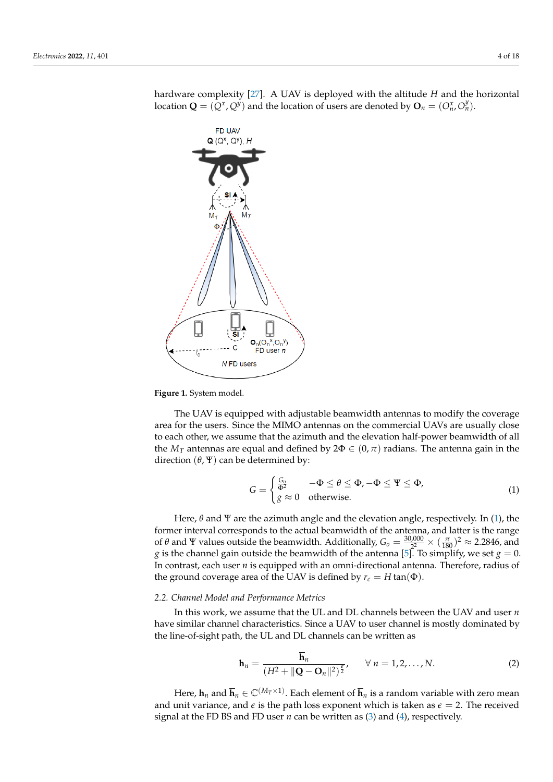<span id="page-4-0"></span>**FD UAV**  $Q(Q^X, Q^Y), H$  $_1(O_n^X,O_n^Y)$  $FD$  user  $n$ N FD users

hardware complexity [\[27\]](#page-18-14). A UAV is deployed with the altitude *H* and the horizontal location  $\mathbf{Q} = (\mathbf{Q}^x, \mathbf{Q}^y)$  and the location of users are denoted by  $\mathbf{O}_n = (O_n^x, O_n^y)$ .

**Figure 1.** System model.

The UAV is equipped with adjustable beamwidth antennas to modify the coverage area for the users. Since the MIMO antennas on the commercial UAVs are usually close to each other, we assume that the azimuth and the elevation half-power beamwidth of all the  $M_T$  antennas are equal and defined by  $2\Phi \in (0, \pi)$  radians. The antenna gain in the direction  $(\theta, \Psi)$  can be determined by:

<span id="page-4-1"></span>
$$
G = \begin{cases} \frac{G_0}{\Phi^2} & -\Phi \le \theta \le \Phi, -\Phi \le \Psi \le \Phi, \\ g \approx 0 & \text{otherwise.} \end{cases}
$$
(1)

Here,  $\theta$  and  $\Psi$  are the azimuth angle and the elevation angle, respectively. In [\(1\)](#page-4-1), the former interval corresponds to the actual beamwidth of the antenna, and latter is the range of  $\theta$  and  $\Psi$  values outside the beamwidth. Additionally,  $G_0 = \frac{30,000}{2^2}$  $\frac{1000}{2^2} \times (\frac{\pi}{180})^2 \approx 2.2846$ , and  $g$  is the channel gain outside the beamwidth of the antenna [\[5\]](#page-17-4). To simplify, we set  $g = 0$ . In contrast, each user *n* is equipped with an omni-directional antenna. Therefore, radius of the ground coverage area of the UAV is defined by  $r_c = H \tan(\Phi)$ .

#### *2.2. Channel Model and Performance Metrics*

In this work, we assume that the UL and DL channels between the UAV and user *n* have similar channel characteristics. Since a UAV to user channel is mostly dominated by the line-of-sight path, the UL and DL channels can be written as

$$
\mathbf{h}_n = \frac{\overline{\mathbf{h}}_n}{(H^2 + ||\mathbf{Q} - \mathbf{O}_n||^2)^{\frac{\epsilon}{2}}}, \qquad \forall n = 1, 2, ..., N.
$$
 (2)

Here,  $h_n$  and  $\overline{h}_n \in \mathbb{C}^{(M_T \times 1)}$ . Each element of  $\overline{h}_n$  is a random variable with zero mean and unit variance, and  $\epsilon$  is the path loss exponent which is taken as  $\epsilon = 2$ . The received signal at the FD BS and FD user *n* can be written as [\(3\)](#page-5-0) and [\(4\)](#page-5-1), respectively.

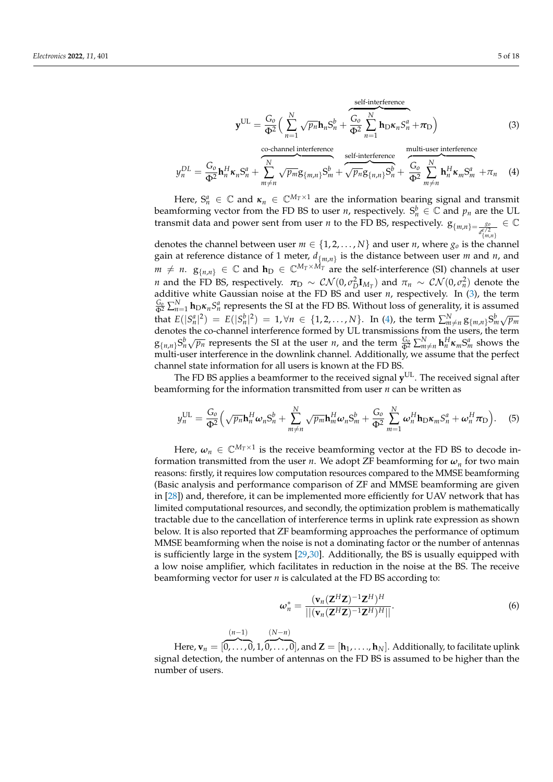<span id="page-5-0"></span>
$$
\mathbf{y}^{\text{UL}} = \frac{G_o}{\Phi^2} \Big( \sum_{n=1}^{N} \sqrt{p_n} \mathbf{h}_n S_n^b + \overbrace{\Phi^2}^{\text{self-interference}} \sum_{n=1}^{N} \mathbf{h}_D \kappa_n S_n^a + \pi_D \Big)
$$
(3)

<span id="page-5-1"></span>
$$
y_n^{DL} = \frac{G_0}{\Phi^2} \mathbf{h}_n^H \kappa_n S_n^a + \sum_{m \neq n}^{N} \sqrt{p_m} g_{\{m,n\}} S_m^b + \sqrt{p_n} g_{\{n,n\}} S_n^b + \frac{G_0}{\Phi^2} \sum_{m \neq n}^{N} \mathbf{h}_n^H \kappa_m S_m^a + \pi_n \quad (4)
$$

Here,  $S_n^a \in \mathbb{C}$  and  $\kappa_n \in \mathbb{C}^{M_T \times 1}$  are the information bearing signal and transmit beamforming vector from the FD BS to user *n*, respectively.  $S_n^b \in \mathbb{C}$  and  $p_n$  are the UL transmit data and power sent from user *n* to the FD BS, respectively.  $g_{\{m,n\}=\frac{g_0}{\sigma/2}}$  $d_{\{m,n\}}^{\epsilon/2}$ ∈ C

denotes the channel between user  $m \in \{1, 2, ..., N\}$  and user *n*, where  $g_o$  is the channel gain at reference distance of 1 meter, *d*{*m*,*n*} is the distance between user *m* and *n*, and *m*  $\neq$  *n*.  $g_{\{n,n\}}$  ∈ ℂ and  $h_D$  ∈ ℂ<sup>*MT*×*M<sub>T</sub>* are the self-interference (SI) channels at user</sup> *n* and the FD BS, respectively.  $\pi_D \sim \mathcal{CN}(0, \sigma_D^2 \mathbf{I}_{M_T})$  and  $\pi_n \sim \mathcal{CN}(0, \sigma_n^2)$  denote the additive white Gaussian noise at the FD BS and user  $n$ , respectively. In  $(3)$ , the term  $\frac{G_0}{\Phi^2}\sum_{n=1}^N$  **h**<sub>D</sub> $\kappa_n$ *S*<sup>*a*</sup> represents the SI at the FD BS. Without loss of generality, it is assumed that  $E(|S_n^a|^2) = E(|S_n^b|^2) = 1, \forall n \in \{1, 2, ..., N\}$ . In [\(4\)](#page-5-1), the term  $\sum_{m \neq n}^{N} g_{m,n} S_m^b \sqrt{p_m}$ denotes the co-channel interference formed by UL transmissions from the users, the term  $g_{n,n}S_n^b\sqrt{p_n}$  represents the SI at the user *n*, and the term  $\frac{G_0}{\Phi^2}\sum_{m\neq n}^N h_n^H\kappa_m S_m^a$  shows the multi-user interference in the downlink channel. Additionally, we assume that the perfect channel state information for all users is known at the FD BS.

The FD BS applies a beamformer to the received signal  $y<sup>UL</sup>$ . The received signal after beamforming for the information transmitted from user *n* can be written as

$$
y_n^{\text{UL}} = \frac{G_o}{\Phi^2} \left( \sqrt{p_n} \mathbf{h}_n^H \boldsymbol{\omega}_n S_n^b + \sum_{m \neq n}^N \sqrt{p_m} \mathbf{h}_m^H \boldsymbol{\omega}_n S_m^b + \frac{G_o}{\Phi^2} \sum_{m=1}^N \boldsymbol{\omega}_n^H \mathbf{h}_D \boldsymbol{\kappa}_m S_n^a + \boldsymbol{\omega}_n^H \boldsymbol{\pi}_D \right).
$$
 (5)

Here,  $\omega_n \in \mathbb{C}^{M_T \times 1}$  is the receive beamforming vector at the FD BS to decode information transmitted from the user *n*. We adopt ZF beamforming for *ω<sup>n</sup>* for two main reasons: firstly, it requires low computation resources compared to the MMSE beamforming (Basic analysis and performance comparison of ZF and MMSE beamforming are given in [\[28\]](#page-18-15)) and, therefore, it can be implemented more efficiently for UAV network that has limited computational resources, and secondly, the optimization problem is mathematically tractable due to the cancellation of interference terms in uplink rate expression as shown below. It is also reported that ZF beamforming approaches the performance of optimum MMSE beamforming when the noise is not a dominating factor or the number of antennas is sufficiently large in the system [\[29](#page-18-16)[,30\]](#page-18-17). Additionally, the BS is usually equipped with a low noise amplifier, which facilitates in reduction in the noise at the BS. The receive beamforming vector for user *n* is calculated at the FD BS according to:

$$
\omega_n^* = \frac{(\mathbf{v}_n (\mathbf{Z}^H \mathbf{Z})^{-1} \mathbf{Z}^H)^H}{|| (\mathbf{v}_n (\mathbf{Z}^H \mathbf{Z})^{-1} \mathbf{Z}^H)^H ||}.
$$
(6)

Here,  $\mathbf{v}_n = [$ (*n*−1)  $\overline{0,\ldots,0}$ , 1, (*N*−*n*)  $[\widetilde{0, \ldots, 0}]$ , and  $\mathbf{Z} = [\mathbf{h}_1, \ldots, \mathbf{h}_N].$  Additionally, to facilitate uplink signal detection, the number of antennas on the FD BS is assumed to be higher than the number of users.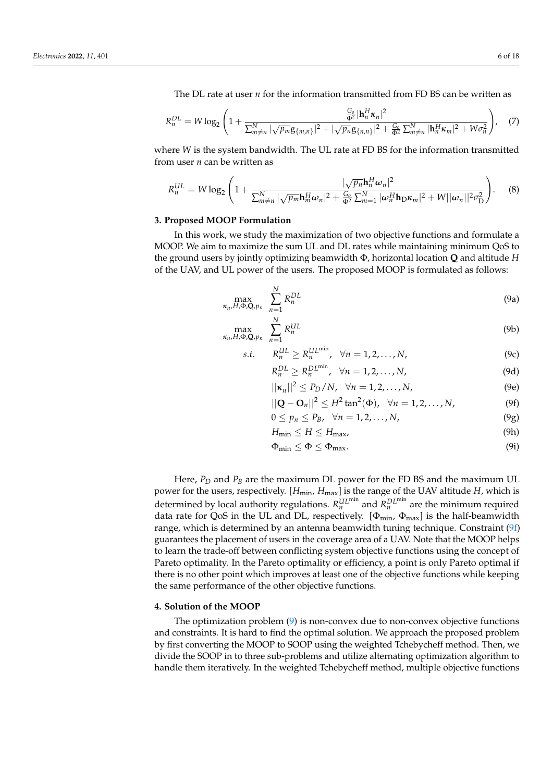The DL rate at user *n* for the information transmitted from FD BS can be written as

$$
R_n^{DL} = W \log_2 \left( 1 + \frac{\frac{G_o}{\Phi^2} |\mathbf{h}_n^H \mathbf{x}_n|^2}{\sum_{m \neq n}^N |\sqrt{p_m} \mathbf{g}_{\{m,n\}}|^2 + |\sqrt{p_n} \mathbf{g}_{\{n,n\}}|^2 + \frac{G_o}{\Phi^2} \sum_{m \neq n}^N |\mathbf{h}_n^H \mathbf{x}_m|^2 + W \sigma_n^2 \right), \quad (7)
$$

where *W* is the system bandwidth. The UL rate at FD BS for the information transmitted from user *n* can be written as

$$
R_n^{UL} = W \log_2 \left( 1 + \frac{|\sqrt{p_n} \mathbf{h}_n^H \boldsymbol{\omega}_n|^2}{\sum_{m \neq n}^N |\sqrt{p_m} \mathbf{h}_m^H \boldsymbol{\omega}_n|^2 + \frac{G_o}{\Phi^2} \sum_{m=1}^N |\boldsymbol{\omega}_n^H \mathbf{h}_D \boldsymbol{\kappa}_m|^2 + W ||\boldsymbol{\omega}_n||^2 \sigma_D^2} \right). \tag{8}
$$

#### <span id="page-6-0"></span>**3. Proposed MOOP Formulation**

In this work, we study the maximization of two objective functions and formulate a MOOP. We aim to maximize the sum UL and DL rates while maintaining minimum QoS to the ground users by jointly optimizing beamwidth Φ, horizontal location **Q** and altitude *H* of the UAV, and UL power of the users. The proposed MOOP is formulated as follows:

$$
\max_{\kappa_n, H, \Phi, \mathbf{Q}, p_n} \sum_{n=1}^N R_n^{DL} \tag{9a}
$$

$$
\max_{\kappa_n, H, \Phi, \mathbf{Q}, p_n} \sum_{n=1}^N R_n^{UL} \tag{9b}
$$

s.t. 
$$
R_n^{\text{UL}} \ge R_n^{\text{UL,min}}
$$
,  $\forall n = 1, 2, ..., N$ , (9c)

$$
R_n^{DL} \ge R_n^{DL^{\min}}, \quad \forall n = 1, 2, \dots, N,
$$
\n(9d)

$$
||\kappa_n||^2 \le P_D/N, \quad \forall n = 1, 2, \dots, N,
$$
 (9e)

<span id="page-6-2"></span>
$$
||\mathbf{Q} - \mathbf{O}_n||^2 \le H^2 \tan^2(\Phi), \quad \forall n = 1, 2, ..., N,
$$
 (9f)

$$
0 \le p_n \le P_B, \quad \forall n = 1, 2, \dots, N,
$$
\n(9g)

$$
H_{\min} \le H \le H_{\max},\tag{9h}
$$

<span id="page-6-3"></span>
$$
\Phi_{\min} \le \Phi \le \Phi_{\max}.\tag{91}
$$

Here,  $P_D$  and  $P_B$  are the maximum DL power for the FD BS and the maximum UL power for the users, respectively. [ $H_{min}$ ,  $H_{max}$ ] is the range of the UAV altitude *H*, which is determined by local authority regulations.  $R_n^{UL^{\min}}$  and  $R_n^{DL^{\min}}$  are the minimum required data rate for QoS in the UL and DL, respectively.  $[\Phi_{min}, \Phi_{max}]$  is the half-beamwidth range, which is determined by an antenna beamwidth tuning technique. Constraint [\(9f\)](#page-6-2) guarantees the placement of users in the coverage area of a UAV. Note that the MOOP helps to learn the trade-off between conflicting system objective functions using the concept of Pareto optimality. In the Pareto optimality or efficiency, a point is only Pareto optimal if there is no other point which improves at least one of the objective functions while keeping the same performance of the other objective functions.

#### <span id="page-6-1"></span>**4. Solution of the MOOP**

The optimization problem [\(9\)](#page-6-3) is non-convex due to non-convex objective functions and constraints. It is hard to find the optimal solution. We approach the proposed problem by first converting the MOOP to SOOP using the weighted Tchebycheff method. Then, we divide the SOOP in to three sub-problems and utilize alternating optimization algorithm to handle them iteratively. In the weighted Tchebycheff method, multiple objective functions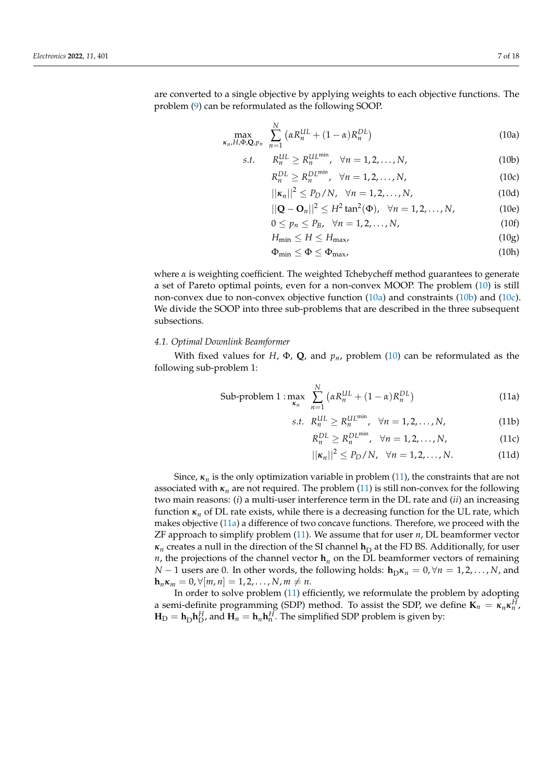are converted to a single objective by applying weights to each objective functions. The problem [\(9\)](#page-6-3) can be reformulated as the following SOOP.

$$
\max_{\kappa_n, H, \Phi, \mathbf{Q}, p_n} \sum_{n=1}^N \left( \alpha R_n^{UL} + (1 - \alpha) R_n^{DL} \right) \tag{10a}
$$

$$
s.t. \t R_n^{UL} \ge R_n^{UL^{\min}}, \quad \forall n = 1, 2, \dots, N,
$$
\t(10b)

<span id="page-7-3"></span><span id="page-7-2"></span><span id="page-7-1"></span>
$$
R_n^{DL} \ge R_n^{DL^{\min}}, \quad \forall n = 1, 2, \dots, N,
$$
\n(10c)

$$
||\kappa_n||^2 \le P_D/N, \quad \forall n = 1, 2, \dots, N,
$$
 (10d)

$$
||\mathbf{Q} - \mathbf{O}_n||^2 \le H^2 \tan^2(\Phi), \ \ \forall n = 1, 2, ..., N,
$$
 (10e)

$$
0 \le p_n \le P_B, \quad \forall n = 1, 2, \dots, N,
$$
\n(10f)

$$
H_{\min} \le H \le H_{\max},\tag{10g}
$$

<span id="page-7-0"></span>
$$
\Phi_{\min} \le \Phi \le \Phi_{\max},\tag{10h}
$$

where  $\alpha$  is weighting coefficient. The weighted Tchebycheff method guarantees to generate a set of Pareto optimal points, even for a non-convex MOOP. The problem [\(10\)](#page-7-0) is still non-convex due to non-convex objective function [\(10a\)](#page-7-1) and constraints [\(10b\)](#page-7-2) and [\(10c\)](#page-7-3). We divide the SOOP into three sub-problems that are described in the three subsequent subsections.

#### *4.1. Optimal Downlink Beamformer*

With fixed values for *H*,  $\Phi$ , **Q**, and  $p_n$ , problem [\(10\)](#page-7-0) can be reformulated as the following sub-problem 1:

Sub-problem 1 : 
$$
\max_{\kappa_n} \sum_{n=1}^{N} \left( \alpha R_n^{UL} + (1 - \alpha) R_n^{DL} \right)
$$
 (11a)

$$
s.t. \ R_n^{UL} \ge R_n^{UL^{\min}}, \ \ \forall n = 1, 2, \dots, N,
$$
 (11b)

<span id="page-7-5"></span>
$$
R_n^{DL} \ge R_n^{DL^{\min}}, \quad \forall n = 1, 2, \dots, N,
$$
 (11c)

<span id="page-7-4"></span>
$$
||\kappa_n||^2 \le P_D/N, \quad \forall n = 1, 2, \dots, N. \tag{11d}
$$

Since,  $\kappa_n$  is the only optimization variable in problem [\(11\)](#page-7-4), the constraints that are not associated with  $\kappa_n$  are not required. The problem [\(11\)](#page-7-4) is still non-convex for the following two main reasons: (*i*) a multi-user interference term in the DL rate and (*ii*) an increasing function  $\kappa_n$  of DL rate exists, while there is a decreasing function for the UL rate, which makes objective [\(11a\)](#page-7-5) a difference of two concave functions. Therefore, we proceed with the ZF approach to simplify problem [\(11\)](#page-7-4). We assume that for user *n*, DL beamformer vector  $\kappa_n$  creates a null in the direction of the SI channel  $\textbf{h}_{\rm D}$  at the FD BS. Additionally, for user *n*, the projections of the channel vector  $h_n$  on the DL beamformer vectors of remaining *N* − 1 users are 0. In other words, the following holds:  $\mathbf{h}_D \kappa_n = 0, \forall n = 1, 2, ..., N$ , and  $$ 

In order to solve problem [\(11\)](#page-7-4) efficiently, we reformulate the problem by adopting a semi-definite programming (SDP) method. To assist the SDP, we define  $\mathbf{K}_n = \kappa_n \kappa_n^H$ ,  $\mathbf{H}_{\rm D} = \mathbf{h}_{\rm D} \mathbf{h}_{\rm D}^H$ , and  $\mathbf{H}_n = \mathbf{h}_n \mathbf{h}_{\rm n}^H$ . The simplified SDP problem is given by: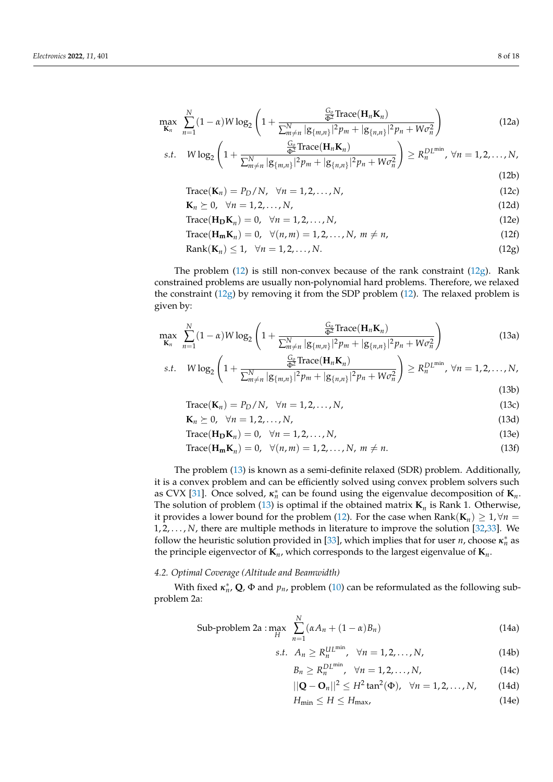$$
\max_{\mathbf{K}_n} \sum_{n=1}^N (1-\alpha) W \log_2 \left( 1 + \frac{\frac{G_0}{\Phi^2} \text{Trace}(\mathbf{H}_n \mathbf{K}_n)}{\sum_{m \neq n}^N |g_{\{m,n\}}|^2 p_m + |g_{\{n,n\}}|^2 p_n + W \sigma_n^2} \right) \tag{12a}
$$

s.t. 
$$
W \log_2 \left( 1 + \frac{\frac{G_0}{\Phi^2} \text{Trace}(\mathbf{H}_n \mathbf{K}_n)}{\sum_{m \neq n}^N |g_{\{m,n\}}|^2 p_m + |g_{\{n,n\}}|^2 p_n + W \sigma_n^2} \right) \ge R_n^{D L^{min}}, \ \forall n = 1, 2, ..., N,
$$
\n(12b)

$$
Trace(\mathbf{K}_n) = P_D/N, \quad \forall n = 1, 2, \dots, N,
$$
\n(12c)

$$
\mathbf{K}_n \succeq 0, \quad \forall n = 1, 2, \dots, N,
$$
\n
$$
(12d)
$$

$$
Trace(\mathbf{H}_{\mathbf{D}}\mathbf{K}_n) = 0, \quad \forall n = 1, 2, \dots, N,
$$
\n(12e)

<span id="page-8-0"></span>
$$
\text{Trace}(\mathbf{H}_{\mathbf{m}}\mathbf{K}_n) = 0, \quad \forall (n,m) = 1, 2, \dots, N, \ m \neq n,
$$
\n
$$
(12f)
$$

$$
Rank(K_n) \le 1, \quad \forall n = 1, 2, \dots, N. \tag{12g}
$$

The problem  $(12)$  is still non-convex because of the rank constraint  $(12g)$ . Rank constrained problems are usually non-polynomial hard problems. Therefore, we relaxed the constraint  $(12g)$  by removing it from the SDP problem [\(12\)](#page-8-0). The relaxed problem is given by:

$$
\max_{\mathbf{K}_n} \sum_{n=1}^N (1-\alpha) W \log_2 \left( 1 + \frac{\frac{G_0}{\Phi^2} \text{Trace}(\mathbf{H}_n \mathbf{K}_n)}{\sum_{m \neq n}^N |g_{\{m,n\}}|^2 p_m + |g_{\{n,n\}}|^2 p_n + W \sigma_n^2} \right) \tag{13a}
$$

s.t. 
$$
W \log_2 \left( 1 + \frac{\frac{G_0}{\Phi^2} \text{Trace}(\mathbf{H}_n \mathbf{K}_n)}{\sum_{m \neq n}^N |g_{\{m,n\}}|^2 p_m + |g_{\{n,n\}}|^2 p_n + W \sigma_n^2} \right) \ge R_n^{DL^{\text{min}}}, \forall n = 1, 2, ..., N,
$$
 (13b)

$$
Trace(\mathbf{K}_n) = P_D/N, \quad \forall n = 1, 2, \dots, N,
$$
\n(13c)

$$
\mathbf{K}_n \succeq 0, \quad \forall n = 1, 2, \dots, N,
$$
\n
$$
(13d)
$$

<span id="page-8-6"></span>
$$
Trace(\mathbf{H}_{\mathbf{D}}\mathbf{K}_n) = 0, \quad \forall n = 1, 2, \dots, N,
$$
\n(13e)

$$
\text{Trace}(\mathbf{H}_{\mathbf{m}}\mathbf{K}_n) = 0, \quad \forall (n,m) = 1, 2, \dots, N, \ m \neq n. \tag{13f}
$$

The problem [\(13\)](#page-8-1) is known as a semi-definite relaxed (SDR) problem. Additionally, it is a convex problem and can be efficiently solved using convex problem solvers such as CVX [\[31\]](#page-18-18). Once solved,  $\kappa_n^*$  can be found using the eigenvalue decomposition of  $\mathbf{K}_n$ . The solution of problem [\(13\)](#page-8-1) is optimal if the obtained matrix  $K_n$  is Rank 1. Otherwise, it provides a lower bound for the problem [\(12\)](#page-8-0). For the case when  $\text{Rank}(\mathbf{K}_n) \geq 1, \forall n = 1$ 1, 2, . . . , *N*, there are multiple methods in literature to improve the solution [\[32,](#page-18-19)[33\]](#page-18-20). We follow the heuristic solution provided in [\[33\]](#page-18-20), which implies that for user *n*, choose  $\kappa_n^*$  as the principle eigenvector of **K***<sup>n</sup>* , which corresponds to the largest eigenvalue of **K***<sup>n</sup>* .

### *4.2. Optimal Coverage (Altitude and Beamwidth)*

With fixed  $\kappa_n^*$ , **Q**,  $\Phi$  and  $p_n$ , problem [\(10\)](#page-7-0) can be reformulated as the following subproblem 2a:

Sub-problem 2a : 
$$
\max_{H} \sum_{n=1}^{N} (\alpha A_n + (1 - \alpha) B_n)
$$
 (14a)

<span id="page-8-1"></span>
$$
s.t. \ A_n \ge R_n^{UL^{\min}}, \ \forall n = 1, 2, \dots, N,
$$
 (14b)

<span id="page-8-3"></span>
$$
B_n \ge R_n^{DL^{\min}}, \quad \forall n = 1, 2, \dots, N,
$$
 (14c)

$$
||\mathbf{Q} - \mathbf{O}_n||^2 \le H^2 \tan^2(\Phi), \ \ \forall n = 1, 2, ..., N,
$$
 (14d)

<span id="page-8-5"></span><span id="page-8-4"></span><span id="page-8-2"></span>
$$
H_{\min} \le H \le H_{\max},\tag{14e}
$$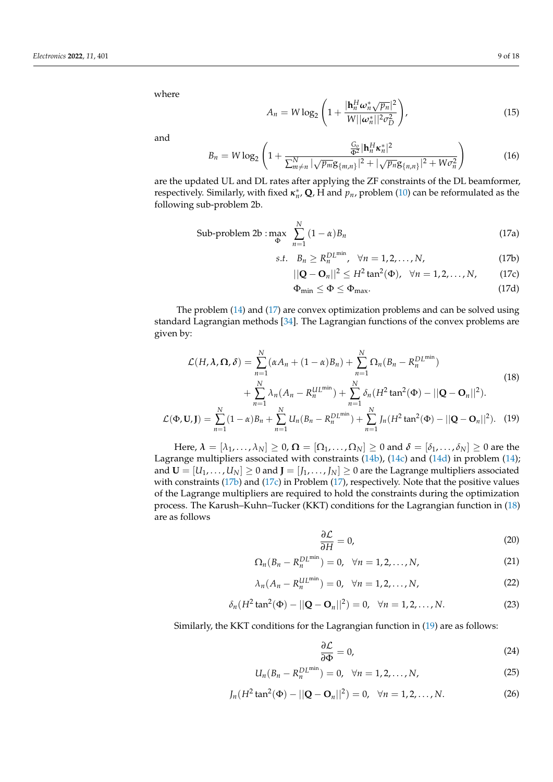where

$$
A_n = W \log_2 \left( 1 + \frac{|\mathbf{h}_n^H \boldsymbol{\omega}_n^* \sqrt{p_n}|^2}{W ||\boldsymbol{\omega}_n^*||^2 \sigma_D^2} \right),
$$
\n(15)

and

$$
B_n = W \log_2 \left( 1 + \frac{\frac{G_0}{\Phi^2} |\mathbf{h}_n^H \mathbf{x}_n^*|^2}{\sum_{m \neq n}^N |\sqrt{p_m} \mathbf{g}_{\{m,n\}}|^2 + |\sqrt{p_n} \mathbf{g}_{\{n,n\}}|^2 + W \sigma_n^2} \right) \tag{16}
$$

are the updated UL and DL rates after applying the ZF constraints of the DL beamformer, respectively. Similarly, with fixed *κ* ∗ *n* , **Q**, H and *pn*, problem [\(10\)](#page-7-0) can be reformulated as the following sub-problem 2b.

Sub-problem 2b : 
$$
\max_{\Phi} \sum_{n=1}^{N} (1 - \alpha) B_n
$$
 (17a)

$$
s.t. \quad B_n \ge R_n^{DL^{\min}}, \quad \forall n = 1, 2, \dots, N,
$$
\n
$$
(17b)
$$

$$
||\mathbf{Q} - \mathbf{O}_n||^2 \le H^2 \tan^2(\Phi), \quad \forall n = 1, 2, ..., N,
$$
 (17c)

<span id="page-9-3"></span><span id="page-9-2"></span><span id="page-9-1"></span><span id="page-9-0"></span>
$$
\Phi_{\min} \le \Phi \le \Phi_{\max}.\tag{17d}
$$

The problem [\(14\)](#page-8-2) and [\(17\)](#page-9-0) are convex optimization problems and can be solved using standard Lagrangian methods [\[34\]](#page-18-21). The Lagrangian functions of the convex problems are given by:

$$
\mathcal{L}(H, \lambda, \Omega, \delta) = \sum_{n=1}^{N} (\alpha A_n + (1 - \alpha)B_n) + \sum_{n=1}^{N} \Omega_n (B_n - R_n^{DL^{\min}}) + \sum_{n=1}^{N} \lambda_n (A_n - R_n^{UL^{\min}}) + \sum_{n=1}^{N} \delta_n (H^2 \tan^2(\Phi) - ||\mathbf{Q} - \mathbf{O}_n||^2).
$$
\n(18)

$$
\mathcal{L}(\Phi, \mathbf{U}, \mathbf{J}) = \sum_{n=1}^{N} (1 - \alpha) B_n + \sum_{n=1}^{N} U_n (B_n - R_n^{DL^{\min}}) + \sum_{n=1}^{N} J_n (H^2 \tan^2(\Phi) - ||\mathbf{Q} - \mathbf{O}_n||^2).
$$
 (19)

Here,  $\lambda = [\lambda_1, \ldots, \lambda_N] \geq 0$ ,  $\Omega = [\Omega_1, \ldots, \Omega_N] \geq 0$  and  $\delta = [\delta_1, \ldots, \delta_N] \geq 0$  are the Lagrange multipliers associated with constraints [\(14b\)](#page-8-3), [\(14c\)](#page-8-4) and [\(14d\)](#page-8-5) in problem [\(14\)](#page-8-2); and  $U = [U_1, \ldots, U_N] \geq 0$  and  $J = [J_1, \ldots, J_N] \geq 0$  are the Lagrange multipliers associated with constraints [\(17b\)](#page-9-1) and [\(17c\)](#page-9-2) in Problem [\(17\)](#page-9-0), respectively. Note that the positive values of the Lagrange multipliers are required to hold the constraints during the optimization process. The Karush–Kuhn–Tucker (KKT) conditions for the Lagrangian function in [\(18\)](#page-9-3) are as follows

<span id="page-9-4"></span>
$$
\frac{\partial \mathcal{L}}{\partial H} = 0,\tag{20}
$$

$$
\Omega_n(B_n - R_n^{DL^{\min}}) = 0, \ \ \forall n = 1, 2, ..., N,
$$
 (21)

$$
\lambda_n(A_n - R_n^{\text{UL}}) = 0, \quad \forall n = 1, 2, \dots, N,
$$
\n<sup>(22)</sup>

$$
\delta_n(H^2 \tan^2(\Phi) - ||\mathbf{Q} - \mathbf{O}_n||^2) = 0, \quad \forall n = 1, 2, ..., N.
$$
 (23)

Similarly, the KKT conditions for the Lagrangian function in [\(19\)](#page-9-4) are as follows:

$$
\frac{\partial \mathcal{L}}{\partial \Phi} = 0,\tag{24}
$$

$$
U_n(B_n - R_n^{DL^{\min}}) = 0, \ \ \forall n = 1, 2, ..., N,
$$
 (25)

$$
J_n(H^2 \tan^2(\Phi) - ||\mathbf{Q} - \mathbf{O}_n||^2) = 0, \quad \forall n = 1, 2, ..., N.
$$
 (26)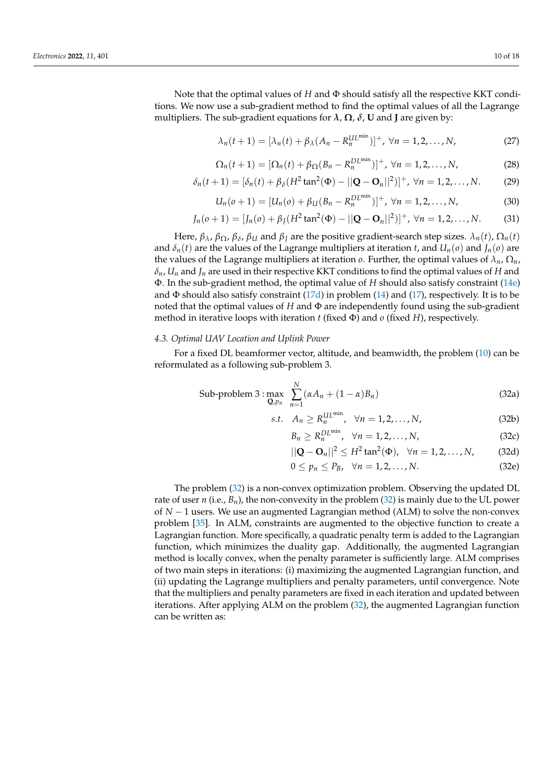Note that the optimal values of *H* and Φ should satisfy all the respective KKT conditions. We now use a sub-gradient method to find the optimal values of all the Lagrange multipliers. The sub-gradient equations for  $\lambda$ ,  $\Omega$ ,  $\delta$ , **U** and **J** are given by:

$$
\lambda_n(t+1) = [\lambda_n(t) + \beta_\lambda(A_n - R_n^{UL^{\min}})]^+, \ \forall n = 1, 2, \dots, N,
$$
 (27)

$$
\Omega_n(t+1) = [\Omega_n(t) + \beta_{\Omega}(B_n - R_n^{DL^{\min}})]^+, \ \forall n = 1, 2, ..., N,
$$
 (28)

$$
\delta_n(t+1) = [\delta_n(t) + \beta_\delta(H^2 \tan^2(\Phi) - ||\mathbf{Q} - \mathbf{O}_n||^2)]^+, \ \forall n = 1, 2, ..., N. \tag{29}
$$

$$
U_n(o+1) = [U_n(o) + \beta_U(B_n - R_n^{DL^{\min}})]^+, \ \forall n = 1, 2, ..., N,
$$
 (30)

$$
J_n(o+1) = [J_n(o) + \beta_J(H^2 \tan^2(\Phi) - ||\mathbf{Q} - \mathbf{O}_n||^2)]^+, \ \forall n = 1, 2, ..., N.
$$
 (31)

Here,  $β_λ$ ,  $β_Ω$ ,  $β_δ$ ,  $β_U$  and  $β_J$  are the positive gradient-search step sizes.  $λ_n(t)$ ,  $Ω_n(t)$ and  $\delta_n(t)$  are the values of the Lagrange multipliers at iteration *t*, and  $U_n(o)$  and  $J_n(o)$  are the values of the Lagrange multipliers at iteration *o*. Further, the optimal values of  $\lambda_n$ ,  $\Omega_n$ ,  $\delta$ *n*,  $U$ <sup>*n*</sup> and  $J$ <sup>*n*</sup> are used in their respective KKT conditions to find the optimal values of *H* and Φ. In the sub-gradient method, the optimal value of *H* should also satisfy constraint [\(14e\)](#page-8-2) and  $\Phi$  should also satisfy constraint [\(17d\)](#page-9-0) in problem [\(14\)](#page-8-2) and [\(17\)](#page-9-0), respectively. It is to be noted that the optimal values of  $H$  and  $\Phi$  are independently found using the sub-gradient method in iterative loops with iteration *t* (fixed Φ) and *o* (fixed *H*), respectively.

#### *4.3. Optimal UAV Location and Uplink Power*

For a fixed DL beamformer vector, altitude, and beamwidth, the problem [\(10\)](#page-7-0) can be reformulated as a following sub-problem 3.

Sub-problem 3: max 
$$
\sum_{n=1}^{N} (\alpha A_n + (1 - \alpha) B_n)
$$
 (32a)

$$
s.t. \quad A_n \ge R_n^{UL^{\min}}, \quad \forall n = 1, 2, \dots, N,
$$
\n
$$
(32b)
$$

<span id="page-10-1"></span>
$$
B_n \ge R_n^{DL^{\min}}, \quad \forall n = 1, 2, \dots, N,
$$
 (32c)

$$
||\mathbf{Q} - \mathbf{O}_n||^2 \le H^2 \tan^2(\Phi), \ \ \forall n = 1, 2, ..., N,
$$
 (32d)

<span id="page-10-0"></span>
$$
0 \le p_n \le P_B, \quad \forall n = 1, 2, \dots, N. \tag{32e}
$$

The problem [\(32\)](#page-10-0) is a non-convex optimization problem. Observing the updated DL rate of user *n* (i.e.,  $B_n$ ), the non-convexity in the problem [\(32\)](#page-10-0) is mainly due to the UL power of *N* − 1 users. We use an augmented Lagrangian method (ALM) to solve the non-convex problem [\[35\]](#page-18-22). In ALM, constraints are augmented to the objective function to create a Lagrangian function. More specifically, a quadratic penalty term is added to the Lagrangian function, which minimizes the duality gap. Additionally, the augmented Lagrangian method is locally convex, when the penalty parameter is sufficiently large. ALM comprises of two main steps in iterations: (i) maximizing the augmented Lagrangian function, and (ii) updating the Lagrange multipliers and penalty parameters, until convergence. Note that the multipliers and penalty parameters are fixed in each iteration and updated between iterations. After applying ALM on the problem [\(32\)](#page-10-0), the augmented Lagrangian function can be written as: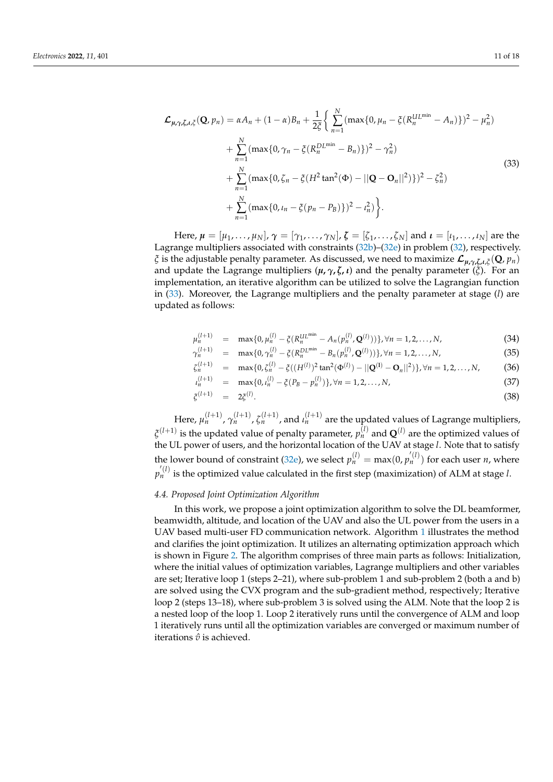<span id="page-11-0"></span>
$$
\mathcal{L}_{\mu,\gamma,\zeta,\iota,\tilde{\zeta}}(\mathbf{Q},p_n) = \alpha A_n + (1-\alpha)B_n + \frac{1}{2\tilde{\zeta}} \Big\{ \sum_{n=1}^N (\max\{0,\mu_n - \tilde{\zeta}(R_n^{UL^{\min}} - A_n)\})^2 - \mu_n^2) + \sum_{n=1}^N (\max\{0,\gamma_n - \tilde{\zeta}(R_n^{DL^{\min}} - B_n)\})^2 - \gamma_n^2) + \sum_{n=1}^N (\max\{0,\zeta_n - \tilde{\zeta}(H^2\tan^2(\Phi) - ||\mathbf{Q} - \mathbf{O}_n||^2)\})^2 - \zeta_n^2) + \sum_{n=1}^N (\max\{0,\iota_n - \tilde{\zeta}(p_n - p_B)\})^2 - \iota_n^2) \Big\}.
$$
\n(33)

Here,  $\mu = [\mu_1, \dots, \mu_N]$ ,  $\gamma = [\gamma_1, \dots, \gamma_N]$ ,  $\zeta = [\zeta_1, \dots, \zeta_N]$  and  $\iota = [\iota_1, \dots, \iota_N]$  are the Lagrange multipliers associated with constraints [\(32b\)](#page-10-1)–[\(32e\)](#page-10-0) in problem [\(32\)](#page-10-0), respectively. *ξ* is the adjustable penalty parameter. As discussed, we need to maximize L*µ***,***γ***,***ζ***,***ι*,*<sup>ξ</sup>* (**Q**, *pn*) and update the Lagrange multipliers  $(\mu, \gamma, \zeta, \iota)$  and the penalty parameter  $(\zeta)$ . For an implementation, an iterative algorithm can be utilized to solve the Lagrangian function in [\(33\)](#page-11-0). Moreover, the Lagrange multipliers and the penalty parameter at stage (*l*) are updated as follows:

<span id="page-11-1"></span>
$$
\mu_n^{(l+1)} = \max\{0, \mu_n^{(l)} - \xi(R_n^{UL^{\min}} - A_n(p_n^{(l)}, \mathbf{Q}^{(l)}))\}, \forall n = 1, 2, ..., N,
$$
\n(34)

$$
\gamma_n^{(l+1)} = \max\{0, \gamma_n^{(l)} - \xi(R_n^{DL^{\min}} - B_n(p_n^{(l)}, \mathbf{Q}^{(l)}))\}, \forall n = 1, 2, ..., N,
$$
\n(35)

$$
\zeta_n^{(l+1)} = \max\{0, \zeta_n^{(l)} - \xi((H^{(l)})^2 \tan^2(\Phi^{(l)}) - ||\mathbf{Q}^{(l)} - \mathbf{O}_n||^2)\}, \forall n = 1, 2, ..., N,
$$
 (36)

$$
u_n^{(l+1)} = \max\{0, u_n^{(l)} - \xi(P_B - p_n^{(l)})\}, \forall n = 1, 2, ..., N,
$$
\n(37)

$$
\xi^{(l+1)} = 2\xi^{(l)}.
$$
\n(38)

Here,  $\mu_n^{(l+1)}$ ,  $\gamma_n^{(l+1)}$ ,  $\zeta_n^{(l+1)}$ , and  $\iota_n^{(l+1)}$  are the updated values of Lagrange multipliers,  $\zeta^{(l+1)}$  is the updated value of penalty parameter,  $p_n^{(l)}$  and  $\mathbf{Q}^{(l)}$  are the optimized values of the UL power of users, and the horizontal location of the UAV at stage *l*. Note that to satisfy the lower bound of constraint [\(32e\)](#page-10-0), we select  $p_n^{(l)} = \max(0, p_n^{(l)})$  for each user *n*, where  $p_n^{'(l)}$  is the optimized value calculated in the first step (maximization) of ALM at stage *l*.

#### *4.4. Proposed Joint Optimization Algorithm*

In this work, we propose a joint optimization algorithm to solve the DL beamformer, beamwidth, altitude, and location of the UAV and also the UL power from the users in a UAV based multi-user FD communication network. Algorithm [1](#page-12-0) illustrates the method and clarifies the joint optimization. It utilizes an alternating optimization approach which is shown in Figure [2.](#page-12-1) The algorithm comprises of three main parts as follows: Initialization, where the initial values of optimization variables, Lagrange multipliers and other variables are set; Iterative loop 1 (steps 2–21), where sub-problem 1 and sub-problem 2 (both a and b) are solved using the CVX program and the sub-gradient method, respectively; Iterative loop 2 (steps 13–18), where sub-problem 3 is solved using the ALM. Note that the loop 2 is a nested loop of the loop 1. Loop 2 iteratively runs until the convergence of ALM and loop 1 iteratively runs until all the optimization variables are converged or maximum number of iterations  $\hat{v}$  is achieved.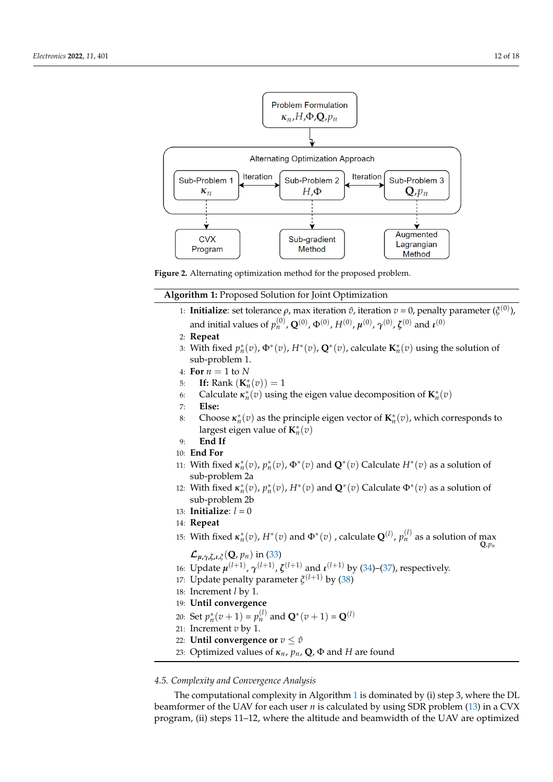<span id="page-12-1"></span>

**Figure 2.** Alternating optimization method for the proposed problem.

**Algorithm 1:** Proposed Solution for Joint Optimization

- <span id="page-12-0"></span>1: **Initialize**: set tolerance *ρ*, max iteration  $\hat{v}$ , iteration  $v = 0$ , penalty parameter ( $\zeta^{(0)}$ ), and initial values of  $p_n^{(0)}$ ,  $\mathbf{Q}^{(0)}$ ,  $\Phi^{(0)}$ ,  $H^{(0)}$ ,  $\pmb{\mu}^{(0)}$ ,  $\pmb{\gamma}^{(0)}$ ,  $\pmb{\zeta}^{(0)}$  and  $\pmb{\iota}^{(0)}$
- 2: **Repeat**
- 3: With fixed  $p_n^*(v)$ ,  $\Phi^*(v)$ ,  $H^*(v)$ ,  $\mathbf{Q}^*(v)$ , calculate  $\mathbf{K}_n^*(v)$  using the solution of sub-problem 1.
- 4: **For** *n* = 1 to *N*
- 5: **If:** Rank  $(K_n^*(v)) = 1$
- 6: Calculate  $\kappa_n^*(v)$  using the eigen value decomposition of  $\mathbf{K}_n^*(v)$
- 7: **Else:**
- 8: Choose  $\kappa_n^*(v)$  as the principle eigen vector of  $\mathbf{K}_n^*(v)$ , which corresponds to largest eigen value of  $\mathbf{K}_{n}^{*}(\bar{v})$
- 9: **End If**
- 10: **End For**
- 11: With fixed  $\kappa_n^*(v)$ ,  $p_n^*(v)$ ,  $\Phi^*(v)$  and  $\mathbf{Q}^*(v)$  Calculate  $H^*(v)$  as a solution of sub-problem 2a
- 12: With fixed  $\kappa_n^*(v)$ ,  $p_n^*(v)$ ,  $H^*(v)$  and  $\mathbf{Q}^*(v)$  Calculate  $\Phi^*(v)$  as a solution of sub-problem 2b
- 13: **Initialize**:  $l = 0$
- 14: **Repeat**
- 15: With fixed  $\kappa_n^*(v)$ ,  $H^*(v)$  and  $\Phi^*(v)$  , calculate  $\mathbf{Q}^{(l)}$ ,  $p_n^{(l)}$  as a solution of max  $\mathbf{Q}_{p_n}$

 $\mathcal{L}_{\mu, \gamma, \zeta, \iota, \zeta}(\mathbf{Q}, p_n)$  in [\(33\)](#page-11-0)

- 16: Update  $\mu^{(l+1)}$ ,  $\gamma^{(l+1)}$ ,  $\zeta^{(l+1)}$  and  $\iota^{(l+1)}$  by [\(34\)](#page-11-1)–[\(37\)](#page-11-1), respectively.
- 17: Update penalty parameter *ξ* (*l*+1) by [\(38\)](#page-11-1)
- 18: Increment *l* by 1.
- 19: **Until convergence**
- 20: Set  $p_n^*(v+1) = p_n^{(l)}$  and  $\mathbf{Q}^*(v+1) = \mathbf{Q}^{(l)}$
- 21: Increment *v* by 1.
- 22: **Until convergence or**  $v \leq \hat{v}$
- 23: Optimized values of *κn*, *pn*, **Q**, Φ and *H* are found

## *4.5. Complexity and Convergence Analysis*

The computational complexity in Algorithm [1](#page-12-0) is dominated by (i) step 3, where the DL beamformer of the UAV for each user *n* is calculated by using SDR problem [\(13\)](#page-8-1) in a CVX program, (ii) steps 11–12, where the altitude and beamwidth of the UAV are optimized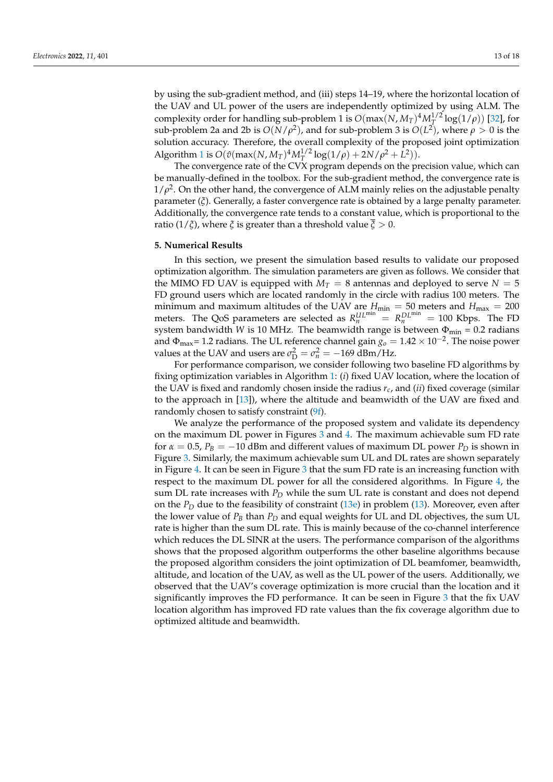by using the sub-gradient method, and (iii) steps 14–19, where the horizontal location of the UAV and UL power of the users are independently optimized by using ALM. The complexity order for handling sub-problem 1 is  $O(max(N, M_T)^4 M_T^{1/2} \log(1/\rho))$  [\[32\]](#page-18-19), for sub-problem 2a and 2b is  $O(N/\rho^2)$ , and for sub-problem 3 is  $O(L^2)$ , where  $\rho > 0$  is the solution accuracy. Therefore, the overall complexity of the proposed joint optimization Algorithm [1](#page-12-0) is  $O(\hat{v}(\max(N, M_T)^4 M_T^{1/2} \log(1/\rho) + 2N/\rho^2 + L^2)).$ 

The convergence rate of the CVX program depends on the precision value, which can be manually-defined in the toolbox. For the sub-gradient method, the convergence rate is  $1/\rho^2$ . On the other hand, the convergence of ALM mainly relies on the adjustable penalty parameter (*ξ*). Generally, a faster convergence rate is obtained by a large penalty parameter. Additionally, the convergence rate tends to a constant value, which is proportional to the ratio (1/ $\zeta$ ), where  $\zeta$  is greater than a threshold value  $\overline{\zeta} > 0$ .

#### <span id="page-13-0"></span>**5. Numerical Results**

In this section, we present the simulation based results to validate our proposed optimization algorithm. The simulation parameters are given as follows. We consider that the MIMO FD UAV is equipped with  $M_T = 8$  antennas and deployed to serve  $N = 5$ FD ground users which are located randomly in the circle with radius 100 meters. The minimum and maximum altitudes of the UAV are  $H_{\text{min}} = 50$  meters and  $H_{\text{max}} = 200$ meters. The QoS parameters are selected as  $R_n^{UL^{min}} = R_n^{DL^{min}} = 100$  Kbps. The FD system bandwidth *W* is 10 MHz. The beamwidth range is between  $\Phi_{\text{min}} = 0.2$  radians and  $\Phi_{\rm max}$ = 1.2 radians. The UL reference channel gain  $g_o = 1.42 \times 10^{-2}$ . The noise power values at the UAV and users are  $\sigma_{\rm D}^2 = \sigma_{\rm n}^2 = -169$  dBm/Hz.

For performance comparison, we consider following two baseline FD algorithms by fixing optimization variables in Algorithm [1:](#page-12-0) (*i*) fixed UAV location, where the location of the UAV is fixed and randomly chosen inside the radius *rc*, and (*ii*) fixed coverage (similar to the approach in [\[13\]](#page-18-0)), where the altitude and beamwidth of the UAV are fixed and randomly chosen to satisfy constraint [\(9f\)](#page-6-2).

We analyze the performance of the proposed system and validate its dependency on the maximum DL power in Figures [3](#page-14-0) and [4.](#page-14-1) The maximum achievable sum FD rate for  $\alpha = 0.5$ ,  $P_B = -10$  dBm and different values of maximum DL power  $P_D$  is shown in Figure [3.](#page-14-0) Similarly, the maximum achievable sum UL and DL rates are shown separately in Figure [4.](#page-14-1) It can be seen in Figure [3](#page-14-0) that the sum FD rate is an increasing function with respect to the maximum DL power for all the considered algorithms. In Figure [4,](#page-14-1) the sum DL rate increases with  $P_D$  while the sum UL rate is constant and does not depend on the  $P_D$  due to the feasibility of constraint [\(13e\)](#page-8-6) in problem [\(13\)](#page-8-1). Moreover, even after the lower value of  $P_B$  than  $P_D$  and equal weights for UL and DL objectives, the sum UL rate is higher than the sum DL rate. This is mainly because of the co-channel interference which reduces the DL SINR at the users. The performance comparison of the algorithms shows that the proposed algorithm outperforms the other baseline algorithms because the proposed algorithm considers the joint optimization of DL beamfomer, beamwidth, altitude, and location of the UAV, as well as the UL power of the users. Additionally, we observed that the UAV's coverage optimization is more crucial than the location and it significantly improves the FD performance. It can be seen in Figure [3](#page-14-0) that the fix UAV location algorithm has improved FD rate values than the fix coverage algorithm due to optimized altitude and beamwidth.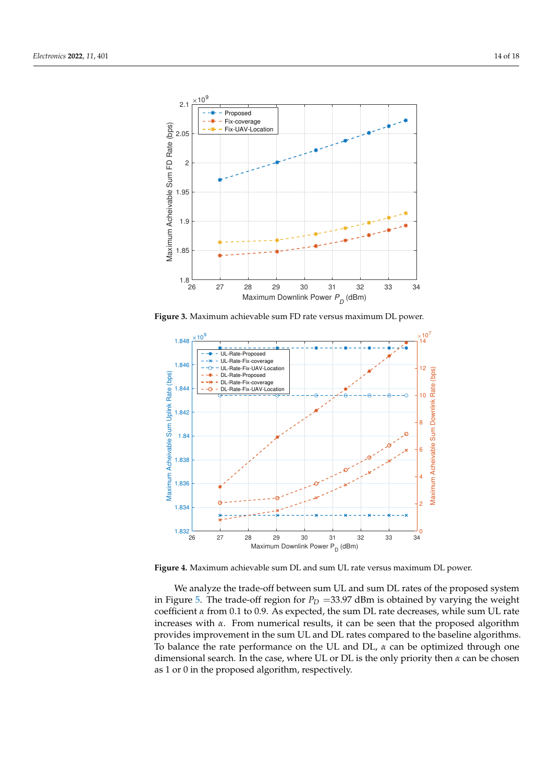<span id="page-14-0"></span>

**Figure 3.** Maximum achievable sum FD rate versus maximum DL power.

<span id="page-14-1"></span>

**Figure 4.** Maximum achievable sum DL and sum UL rate versus maximum DL power.

We analyze the trade-off between sum UL and sum DL rates of the proposed system in Figure [5.](#page-15-0) The trade-off region for  $P_D = 33.97$  dBm is obtained by varying the weight coefficient *α* from 0.1 to 0.9. As expected, the sum DL rate decreases, while sum UL rate increases with *α*. From numerical results, it can be seen that the proposed algorithm provides improvement in the sum UL and DL rates compared to the baseline algorithms. To balance the rate performance on the UL and DL, *α* can be optimized through one dimensional search. In the case, where UL or DL is the only priority then *α* can be chosen as 1 or 0 in the proposed algorithm, respectively.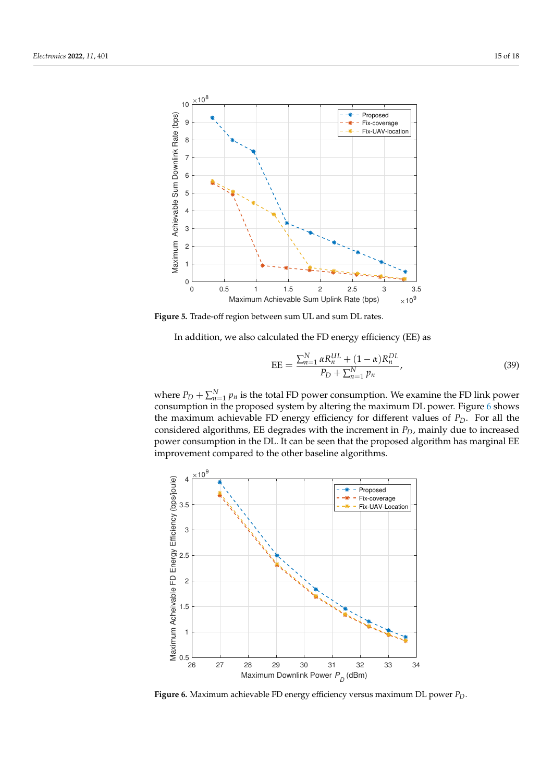<span id="page-15-0"></span>

**Figure 5.** Trade-off region between sum UL and sum DL rates.

In addition, we also calculated the FD energy efficiency (EE) as

$$
EE = \frac{\sum_{n=1}^{N} \alpha R_n^{UL} + (1 - \alpha) R_n^{DL}}{P_D + \sum_{n=1}^{N} p_n},
$$
\n(39)

where  $P_D + \sum_{n=1}^{N} p_n$  is the total FD power consumption. We examine the FD link power consumption in the proposed system by altering the maximum DL power. Figure [6](#page-15-1) shows the maximum achievable FD energy efficiency for different values of  $P_D$ . For all the considered algorithms, EE degrades with the increment in *PD*, mainly due to increased power consumption in the DL. It can be seen that the proposed algorithm has marginal EE improvement compared to the other baseline algorithms.

<span id="page-15-1"></span>

**Figure 6.** Maximum achievable FD energy efficiency versus maximum DL power *PD*.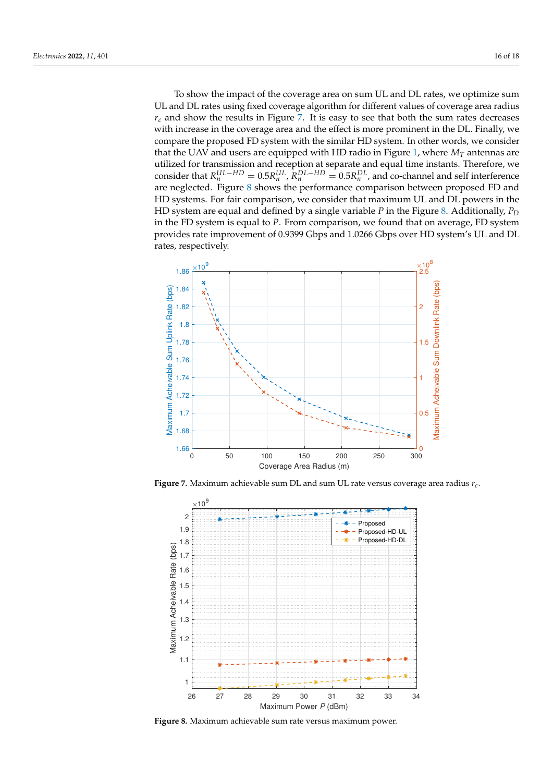To show the impact of the coverage area on sum UL and DL rates, we optimize sum UL and DL rates using fixed coverage algorithm for different values of coverage area radius  $r_c$  and show the results in Figure [7.](#page-16-0) It is easy to see that both the sum rates decreases with increase in the coverage area and the effect is more prominent in the DL. Finally, we compare the proposed FD system with the similar HD system. In other words, we consider that the UAV and users are equipped with HD radio in Figure [1,](#page-4-0) where  $M_T$  antennas are utilized for transmission and reception at separate and equal time instants. Therefore, we consider that  $R_n^{UL-HD} = 0.5R_n^{UL}$ ,  $R_n^{DL-HD} = 0.5R_n^{DL}$ , and co-channel and self interference are neglected. Figure [8](#page-16-1) shows the performance comparison between proposed FD and HD systems. For fair comparison, we consider that maximum UL and DL powers in the HD system are equal and defined by a single variable *P* in the Figure [8.](#page-16-1) Additionally, *P<sup>D</sup>* in the FD system is equal to *P*. From comparison, we found that on average, FD system provides rate improvement of 0.9399 Gbps and 1.0266 Gbps over HD system's UL and DL rates, respectively.

<span id="page-16-0"></span>

**Figure 7.** Maximum achievable sum DL and sum UL rate versus coverage area radius *rc*.

<span id="page-16-1"></span>

**Figure 8.** Maximum achievable sum rate versus maximum power.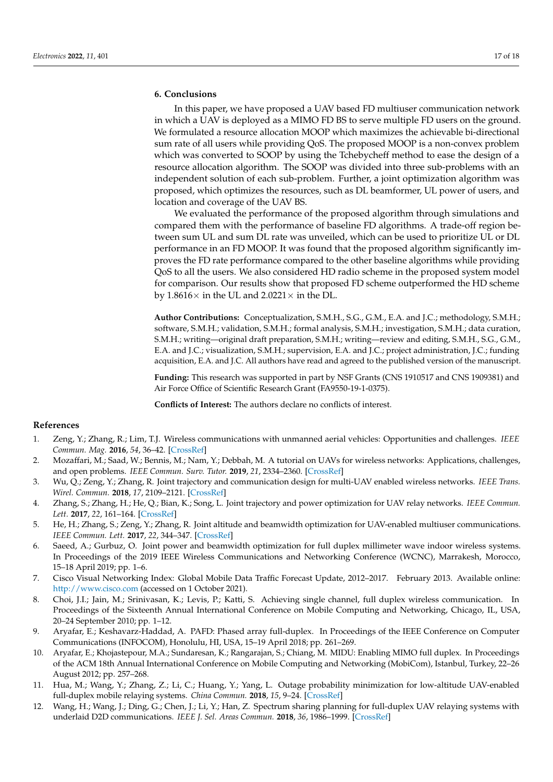#### <span id="page-17-11"></span>**6. Conclusions**

In this paper, we have proposed a UAV based FD multiuser communication network in which a UAV is deployed as a MIMO FD BS to serve multiple FD users on the ground. We formulated a resource allocation MOOP which maximizes the achievable bi-directional sum rate of all users while providing QoS. The proposed MOOP is a non-convex problem which was converted to SOOP by using the Tchebycheff method to ease the design of a resource allocation algorithm. The SOOP was divided into three sub-problems with an independent solution of each sub-problem. Further, a joint optimization algorithm was proposed, which optimizes the resources, such as DL beamformer, UL power of users, and location and coverage of the UAV BS.

We evaluated the performance of the proposed algorithm through simulations and compared them with the performance of baseline FD algorithms. A trade-off region between sum UL and sum DL rate was unveiled, which can be used to prioritize UL or DL performance in an FD MOOP. It was found that the proposed algorithm significantly improves the FD rate performance compared to the other baseline algorithms while providing QoS to all the users. We also considered HD radio scheme in the proposed system model for comparison. Our results show that proposed FD scheme outperformed the HD scheme by  $1.8616\times$  in the UL and  $2.0221\times$  in the DL.

**Author Contributions:** Conceptualization, S.M.H., S.G., G.M., E.A. and J.C.; methodology, S.M.H.; software, S.M.H.; validation, S.M.H.; formal analysis, S.M.H.; investigation, S.M.H.; data curation, S.M.H.; writing—original draft preparation, S.M.H.; writing—review and editing, S.M.H., S.G., G.M., E.A. and J.C.; visualization, S.M.H.; supervision, E.A. and J.C.; project administration, J.C.; funding acquisition, E.A. and J.C. All authors have read and agreed to the published version of the manuscript.

**Funding:** This research was supported in part by NSF Grants (CNS 1910517 and CNS 1909381) and Air Force Office of Scientific Research Grant (FA9550-19-1-0375).

**Conflicts of Interest:** The authors declare no conflicts of interest.

#### **References**

- <span id="page-17-0"></span>1. Zeng, Y.; Zhang, R.; Lim, T.J. Wireless communications with unmanned aerial vehicles: Opportunities and challenges. *IEEE Commun. Mag.* **2016**, *54*, 36–42. [\[CrossRef\]](http://doi.org/10.1109/MCOM.2016.7470933)
- <span id="page-17-1"></span>2. Mozaffari, M.; Saad, W.; Bennis, M.; Nam, Y.; Debbah, M. A tutorial on UAVs for wireless networks: Applications, challenges, and open problems. *IEEE Commun. Surv. Tutor.* **2019**, *21*, 2334–2360. [\[CrossRef\]](http://dx.doi.org/10.1109/COMST.2019.2902862)
- <span id="page-17-2"></span>3. Wu, Q.; Zeng, Y.; Zhang, R. Joint trajectory and communication design for multi-UAV enabled wireless networks. *IEEE Trans. Wirel. Commun.* **2018**, *17*, 2109–2121. [\[CrossRef\]](http://dx.doi.org/10.1109/TWC.2017.2789293)
- <span id="page-17-3"></span>4. Zhang, S.; Zhang, H.; He, Q.; Bian, K.; Song, L. Joint trajectory and power optimization for UAV relay networks. *IEEE Commun. Lett.* **2017**, *22*, 161–164. [\[CrossRef\]](http://dx.doi.org/10.1109/LCOMM.2017.2763135)
- <span id="page-17-4"></span>5. He, H.; Zhang, S.; Zeng, Y.; Zhang, R. Joint altitude and beamwidth optimization for UAV-enabled multiuser communications. *IEEE Commun. Lett.* **2017**, *22*, 344–347. [\[CrossRef\]](http://dx.doi.org/10.1109/LCOMM.2017.2772254)
- <span id="page-17-5"></span>6. Saeed, A.; Gurbuz, O. Joint power and beamwidth optimization for full duplex millimeter wave indoor wireless systems. In Proceedings of the 2019 IEEE Wireless Communications and Networking Conference (WCNC), Marrakesh, Morocco, 15–18 April 2019; pp. 1–6.
- <span id="page-17-6"></span>7. Cisco Visual Networking Index: Global Mobile Data Traffic Forecast Update, 2012–2017. February 2013. Available online: <http://www.cisco.com> (accessed on 1 October 2021).
- <span id="page-17-7"></span>8. Choi, J.I.; Jain, M.; Srinivasan, K.; Levis, P.; Katti, S. Achieving single channel, full duplex wireless communication. In Proceedings of the Sixteenth Annual International Conference on Mobile Computing and Networking, Chicago, IL, USA, 20–24 September 2010; pp. 1–12.
- 9. Aryafar, E.; Keshavarz-Haddad, A. PAFD: Phased array full-duplex. In Proceedings of the IEEE Conference on Computer Communications (INFOCOM), Honolulu, HI, USA, 15–19 April 2018; pp. 261–269.
- <span id="page-17-8"></span>10. Aryafar, E.; Khojastepour, M.A.; Sundaresan, K.; Rangarajan, S.; Chiang, M. MIDU: Enabling MIMO full duplex. In Proceedings of the ACM 18th Annual International Conference on Mobile Computing and Networking (MobiCom), Istanbul, Turkey, 22–26 August 2012; pp. 257–268.
- <span id="page-17-9"></span>11. Hua, M.; Wang, Y.; Zhang, Z.; Li, C.; Huang, Y.; Yang, L. Outage probability minimization for low-altitude UAV-enabled full-duplex mobile relaying systems. *China Commun.* **2018**, *15*, 9–24. [\[CrossRef\]](http://dx.doi.org/10.1109/CC.2018.8387983)
- <span id="page-17-10"></span>12. Wang, H.; Wang, J.; Ding, G.; Chen, J.; Li, Y.; Han, Z. Spectrum sharing planning for full-duplex UAV relaying systems with underlaid D2D communications. *IEEE J. Sel. Areas Commun.* **2018**, *36*, 1986–1999. [\[CrossRef\]](http://dx.doi.org/10.1109/JSAC.2018.2864375)